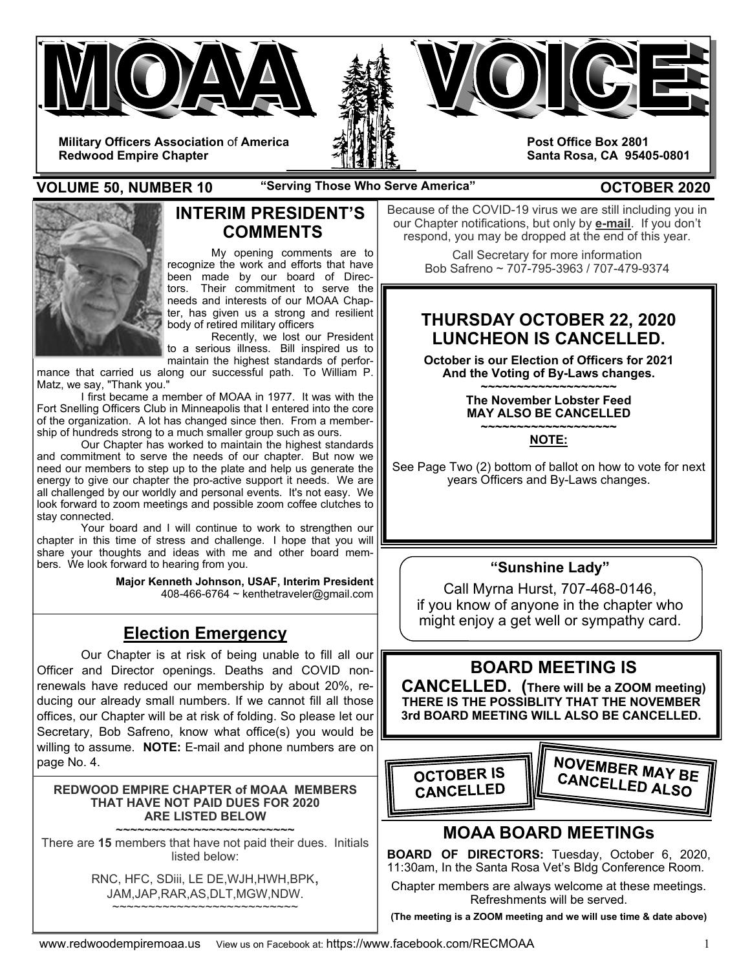

**VOLUME 50, NUMBER 10** "Serving Those Who Serve America" **COLUME 50, NUMBER 2020** 



## **INTERIM PRESIDENT'S COMMENTS**

My opening comments are to recognize the work and efforts that have been made by our board of Directors. Their commitment to serve the needs and interests of our MOAA Chapter, has given us a strong and resilient body of retired military officers

 Recently, we lost our President to a serious illness. Bill inspired us to maintain the highest standards of perfor-

mance that carried us along our successful path. To William P. Matz, we say, "Thank you."

 I first became a member of MOAA in 1977. It was with the Fort Snelling Officers Club in Minneapolis that I entered into the core of the organization. A lot has changed since then. From a membership of hundreds strong to a much smaller group such as ours.

 Our Chapter has worked to maintain the highest standards and commitment to serve the needs of our chapter. But now we need our members to step up to the plate and help us generate the energy to give our chapter the pro-active support it needs. We are all challenged by our worldly and personal events. It's not easy. We look forward to zoom meetings and possible zoom coffee clutches to stay connected.

 Your board and I will continue to work to strengthen our chapter in this time of stress and challenge. I hope that you will share your thoughts and ideas with me and other board members. We look forward to hearing from you.

> **Major Kenneth Johnson, USAF, Interim President**  408-466-6764 ~ kenthetraveler@gmail.com

# **Election Emergency**

Our Chapter is at risk of being unable to fill all our Officer and Director openings. Deaths and COVID nonrenewals have reduced our membership by about 20%, reducing our already small numbers. If we cannot fill all those offices, our Chapter will be at risk of folding. So please let our Secretary, Bob Safreno, know what office(s) you would be willing to assume. **NOTE:** E-mail and phone numbers are on page No. 4.

### **REDWOOD EMPIRE CHAPTER of MOAA MEMBERS THAT HAVE NOT PAID DUES FOR 2020 ARE LISTED BELOW**

**~~~~~~~~~~~~~~~~~~~~~~~~~**  There are **15** members that have not paid their dues. Initials listed below:

> RNC, HFC, SDiii, LE DE,WJH,HWH,BPK, JAM,JAP,RAR,AS,DLT,MGW,NDW. ~~~~~~~~~~~~~~~~~~~~~~~~

Because of the COVID-19 virus we are still including you in our Chapter notifications, but only by **e-mail**. If you don't respond, you may be dropped at the end of this year.

> Call Secretary for more information Bob Safreno ~ 707-795-3963 / 707-479-9374

# **THURSDAY OCTOBER 22, 2020 LUNCHEON IS CANCELLED.**

**October is our Election of Officers for 2021 And the Voting of By-Laws changes.** 

**~~~~~~~~~~~~~~~~~~~ The November Lobster Feed MAY ALSO BE CANCELLED ~~~~~~~~~~~~~~~~~~~** 

**NOTE:** 

See Page Two (2) bottom of ballot on how to vote for next years Officers and By-Laws changes.

## **"Sunshine Lady"**

Call Myrna Hurst, 707-468-0146, if you know of anyone in the chapter who might enjoy a get well or sympathy card.

# **BOARD MEETING IS**

 **CANCELLED. (There will be a ZOOM meeting) THERE IS THE POSSIBLITY THAT THE NOVEMBER 3rd BOARD MEETING WILL ALSO BE CANCELLED.** 



# **MOAA BOARD MEETINGs**

**BOARD OF DIRECTORS:** Tuesday, October 6, 2020, 11:30am, In the Santa Rosa Vet's Bldg Conference Room.

Chapter members are always welcome at these meetings. Refreshments will be served.

**(The meeting is a ZOOM meeting and we will use time & date above)**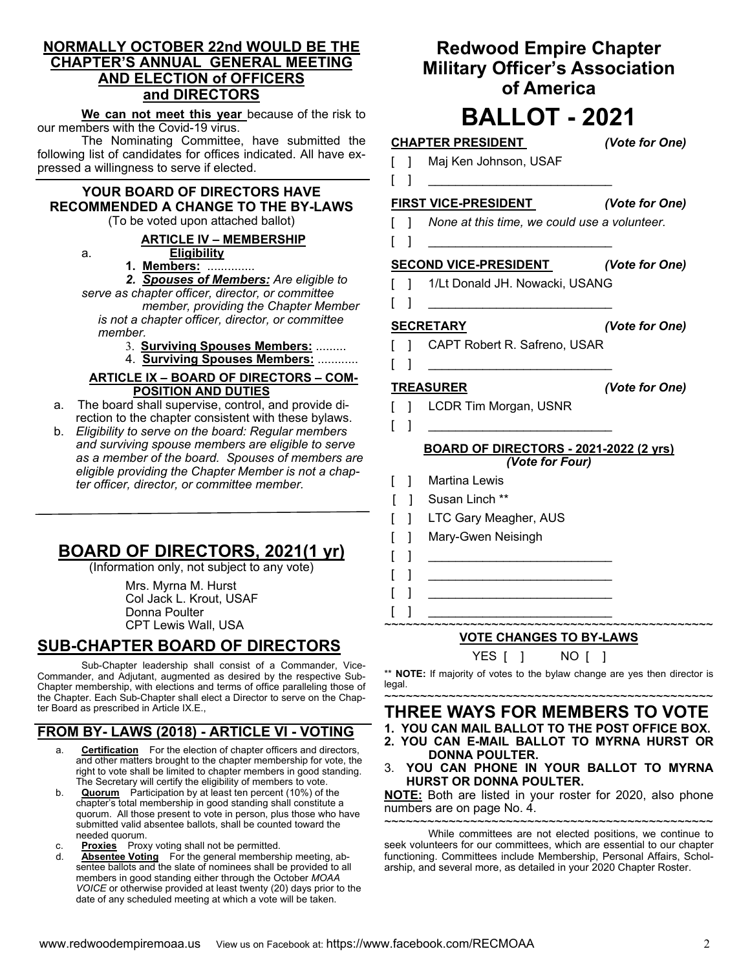### **NORMALLY OCTOBER 22nd WOULD BE THE CHAPTER'S ANNUAL GENERAL MEETING AND ELECTION of OFFICERS and DIRECTORS**

**We can not meet this year** because of the risk to our members with the Covid-19 virus.

 The Nominating Committee, have submitted the following list of candidates for offices indicated. All have expressed a willingness to serve if elected.

## **YOUR BOARD OF DIRECTORS HAVE RECOMMENDED A CHANGE TO THE BY-LAWS**

(To be voted upon attached ballot)

### **ARTICLE IV – MEMBERSHIP**

a. **Eligibility** 

**1. Members:** ..............

### *2. Spouses of Members: Are eligible to*

*serve as chapter officer, director, or committee member, providing the Chapter Member is not a chapter officer, director, or committee* 

- *member.* 
	- 3. **Surviving Spouses Members:** .........
	- 4. **Surviving Spouses Members:** ............

### **ARTICLE IX – BOARD OF DIRECTORS – COM-POSITION AND DUTIES**

- a. The board shall supervise, control, and provide direction to the chapter consistent with these bylaws.
- b. *Eligibility to serve on the board: Regular members and surviving spouse members are eligible to serve as a member of the board. Spouses of members are eligible providing the Chapter Member is not a chapter officer, director, or committee member.*

# **BOARD OF DIRECTORS, 2021(1 yr)**

(Information only, not subject to any vote)

 Mrs. Myrna M. Hurst Col Jack L. Krout, USAF Donna Poulter CPT Lewis Wall, USA

# **SUB-CHAPTER BOARD OF DIRECTORS**

 Sub-Chapter leadership shall consist of a Commander, Vice-Commander, and Adjutant, augmented as desired by the respective Sub-Chapter membership, with elections and terms of office paralleling those of the Chapter. Each Sub-Chapter shall elect a Director to serve on the Chapter Board as prescribed in Article IX.E.,

# **FROM BY- LAWS (2018) - ARTICLE VI - VOTING**

- a. **Certification** For the election of chapter officers and directors, and other matters brought to the chapter membership for vote, the right to vote shall be limited to chapter members in good standing. The Secretary will certify the eligibility of members to vote.
- b. **Quorum** Participation by at least ten percent (10%) of the chapter's total membership in good standing shall constitute a quorum. All those present to vote in person, plus those who have submitted valid absentee ballots, shall be counted toward the needed quorum.
- **Proxies** Proxy voting shall not be permitted.
- d. **Absentee Voting** For the general membership meeting, absentee ballots and the slate of nominees shall be provided to all members in good standing either through the October *MOAA VOICE* or otherwise provided at least twenty (20) days prior to the date of any scheduled meeting at which a vote will be taken.

# **Redwood Empire Chapter Military Officer's Association of America**

# **BALLOT - 2021**

# **CHAPTER PRESIDENT** *(Vote for One)*

- [ ] Maj Ken Johnson, USAF
- [ ] \_\_\_\_\_\_\_\_\_\_\_\_\_\_\_\_\_\_\_\_\_\_\_\_\_\_\_

### **FIRST VICE-PRESIDENT** *(Vote for One)*

- [ ] *None at this time, we could use a volunteer.*
- [ ] \_\_\_\_\_\_\_\_\_\_\_\_\_\_\_\_\_\_\_\_\_\_\_\_\_\_\_

### **SECOND VICE-PRESIDENT** *(Vote for One)*

- [ ] 1/Lt Donald JH. Nowacki, USANG
- $[\ ]$

- **SECRETARY** *(Vote for One)*
- CAPT Robert R. Safreno, USAR [ ] \_\_\_\_\_\_\_\_\_\_\_\_\_\_\_\_\_\_\_\_\_\_\_\_\_\_\_

# **TREASURER** *(Vote for One)*

- [ ] LCDR Tim Morgan, USNR
- [ ] \_\_\_\_\_\_\_\_\_\_\_\_\_\_\_\_\_\_\_\_\_\_\_\_\_\_\_

 $[\ ]$ 

### **BOARD OF DIRECTORS - 2021-2022 (2 yrs)**  *(Vote for Four)*

- [ ] Martina Lewis
- [ ] Susan Linch \*\*
- [ ] LTC Gary Meagher, AUS
- [ ] Mary-Gwen Neisingh
- [ ] \_\_\_\_\_\_\_\_\_\_\_\_\_\_\_\_\_\_\_\_\_\_\_\_\_\_\_ [ ] \_\_\_\_\_\_\_\_\_\_\_\_\_\_\_\_\_\_\_\_\_\_\_\_\_\_\_
- [ ] \_\_\_\_\_\_\_\_\_\_\_\_\_\_\_\_\_\_\_\_\_\_\_\_\_\_\_

### ~~~~~~~~~~~~~~~~~~~~~~~~~~~~~~~~~~~~~~~~~~~~~~ **VOTE CHANGES TO BY-LAWS**

YES [ ] NO [ ]

\*\* **NOTE:** If majority of votes to the bylaw change are yes then director is legal.

~~~~~~~~~~~~~~~~~~~~~~~~~~~~~~~~~~~~~~~~~~~~~~ **THREE WAYS FOR MEMBERS TO VOTE 1. YOU CAN MAIL BALLOT TO THE POST OFFICE BOX.** 

- **2. YOU CAN E-MAIL BALLOT TO MYRNA HURST OR DONNA POULTER.**
- 3. **YOU CAN PHONE IN YOUR BALLOT TO MYRNA HURST OR DONNA POULTER.**

**NOTE:** Both are listed in your roster for 2020, also phone numbers are on page No. 4.

~~~~~~~~~~~~~~~~~~~~~~~~~~~~~~~~~~~~~~~~~~~~~~ While committees are not elected positions, we continue to seek volunteers for our committees, which are essential to our chapter functioning. Committees include Membership, Personal Affairs, Scholarship, and several more, as detailed in your 2020 Chapter Roster.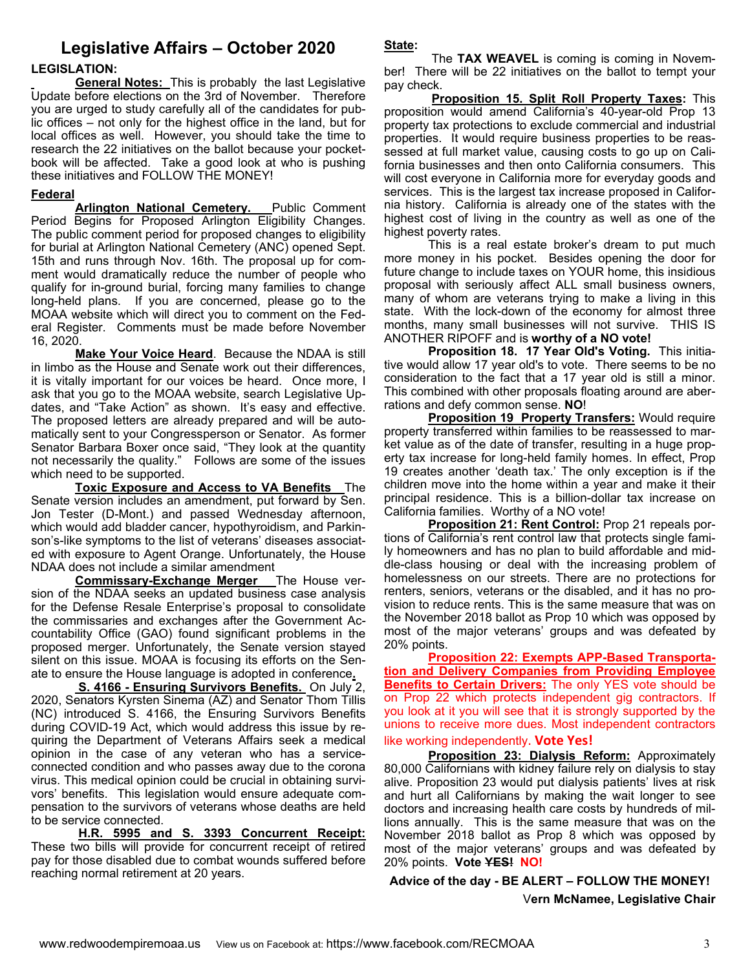# **Legislative Affairs – October 2020**

### **LEGISLATION:**

**General Notes:** This is probably the last Legislative Update before elections on the 3rd of November. Therefore you are urged to study carefully all of the candidates for public offices – not only for the highest office in the land, but for local offices as well. However, you should take the time to research the 22 initiatives on the ballot because your pocketbook will be affected. Take a good look at who is pushing these initiatives and FOLLOW THE MONEY!

### **Federal**

**Arlington National Cemetery.** Public Comment Period Begins for Proposed Arlington Eligibility Changes. The public comment period for proposed changes to eligibility for burial at Arlington National Cemetery (ANC) opened Sept. 15th and runs through Nov. 16th. The proposal up for comment would dramatically reduce the number of people who qualify for in-ground burial, forcing many families to change long-held plans. If you are concerned, please go to the MOAA website which will direct you to comment on the Federal Register. Comments must be made before November 16, 2020.

 **Make Your Voice Heard**. Because the NDAA is still in limbo as the House and Senate work out their differences, it is vitally important for our voices be heard. Once more, I ask that you go to the MOAA website, search Legislative Updates, and "Take Action" as shown. It's easy and effective. The proposed letters are already prepared and will be automatically sent to your Congressperson or Senator. As former Senator Barbara Boxer once said, "They look at the quantity not necessarily the quality." Follows are some of the issues which need to be supported.

**Toxic Exposure and Access to VA Benefits** The Senate version includes an amendment, put forward by Sen. Jon Tester (D-Mont.) and passed Wednesday afternoon, which would add bladder cancer, hypothyroidism, and Parkinson's-like symptoms to the list of veterans' diseases associated with exposure to Agent Orange. Unfortunately, the House NDAA does not include a similar amendment

**Commissary-Exchange Merger** The House version of the NDAA seeks an updated business case analysis for the Defense Resale Enterprise's proposal to consolidate the commissaries and exchanges after the Government Accountability Office (GAO) found significant problems in the proposed merger. Unfortunately, the Senate version stayed silent on this issue. MOAA is focusing its efforts on the Senate to ensure the House language is adopted in conference**.** 

 **S. 4166 - Ensuring Survivors Benefits.** On July 2, 2020, Senators Kyrsten Sinema (AZ) and Senator Thom Tillis (NC) introduced S. 4166, the Ensuring Survivors Benefits during COVID-19 Act, which would address this issue by requiring the Department of Veterans Affairs seek a medical opinion in the case of any veteran who has a serviceconnected condition and who passes away due to the corona virus. This medical opinion could be crucial in obtaining survivors' benefits. This legislation would ensure adequate compensation to the survivors of veterans whose deaths are held to be service connected.

**H.R. 5995 and S. 3393 Concurrent Receipt:**  These two bills will provide for concurrent receipt of retired pay for those disabled due to combat wounds suffered before reaching normal retirement at 20 years.

**State:**

 The **TAX WEAVEL** is coming is coming in November! There will be 22 initiatives on the ballot to tempt your pay check.

 **Proposition 15. Split Roll Property Taxes:** This proposition would amend California's 40-year-old Prop 13 property tax protections to exclude commercial and industrial properties. It would require business properties to be reassessed at full market value, causing costs to go up on California businesses and then onto California consumers. This will cost everyone in California more for everyday goods and services. This is the largest tax increase proposed in California history. California is already one of the states with the highest cost of living in the country as well as one of the highest poverty rates.

This is a real estate broker's dream to put much more money in his pocket. Besides opening the door for future change to include taxes on YOUR home, this insidious proposal with seriously affect ALL small business owners, many of whom are veterans trying to make a living in this state. With the lock-down of the economy for almost three months, many small businesses will not survive. THIS IS ANOTHER RIPOFF and is **worthy of a NO vote!** 

**Proposition 18. 17 Year Old's Voting.** This initiative would allow 17 year old's to vote. There seems to be no consideration to the fact that a 17 year old is still a minor. This combined with other proposals floating around are aberrations and defy common sense. **NO**!

**Proposition 19 Property Transfers: Would require** property transferred within families to be reassessed to market value as of the date of transfer, resulting in a huge property tax increase for long-held family homes. In effect, Prop 19 creates another 'death tax.' The only exception is if the children move into the home within a year and make it their principal residence. This is a billion-dollar tax increase on California families. Worthy of a NO vote!

**Proposition 21: Rent Control:** Prop 21 repeals portions of California's rent control law that protects single family homeowners and has no plan to build affordable and middle-class housing or deal with the increasing problem of homelessness on our streets. There are no protections for renters, seniors, veterans or the disabled, and it has no provision to reduce rents. This is the same measure that was on the November 2018 ballot as Prop 10 which was opposed by most of the major veterans' groups and was defeated by 20% points.

**Proposition 22: Exempts APP-Based Transportation and Delivery Companies from Providing Employee Benefits to Certain Drivers:** The only YES vote should be on Prop 22 which protects independent gig contractors. If you look at it you will see that it is strongly supported by the unions to receive more dues. Most independent contractors like working independently. **Vote Yes!**

**Proposition 23: Dialysis Reform:** Approximately 80,000 Californians with kidney failure rely on dialysis to stay alive. Proposition 23 would put dialysis patients' lives at risk and hurt all Californians by making the wait longer to see doctors and increasing health care costs by hundreds of millions annually. This is the same measure that was on the November 2018 ballot as Prop 8 which was opposed by most of the major veterans' groups and was defeated by 20% points. **Vote YES! NO!**

### **Advice of the day - BE ALERT – FOLLOW THE MONEY!**

V**ern McNamee, Legislative Chair**